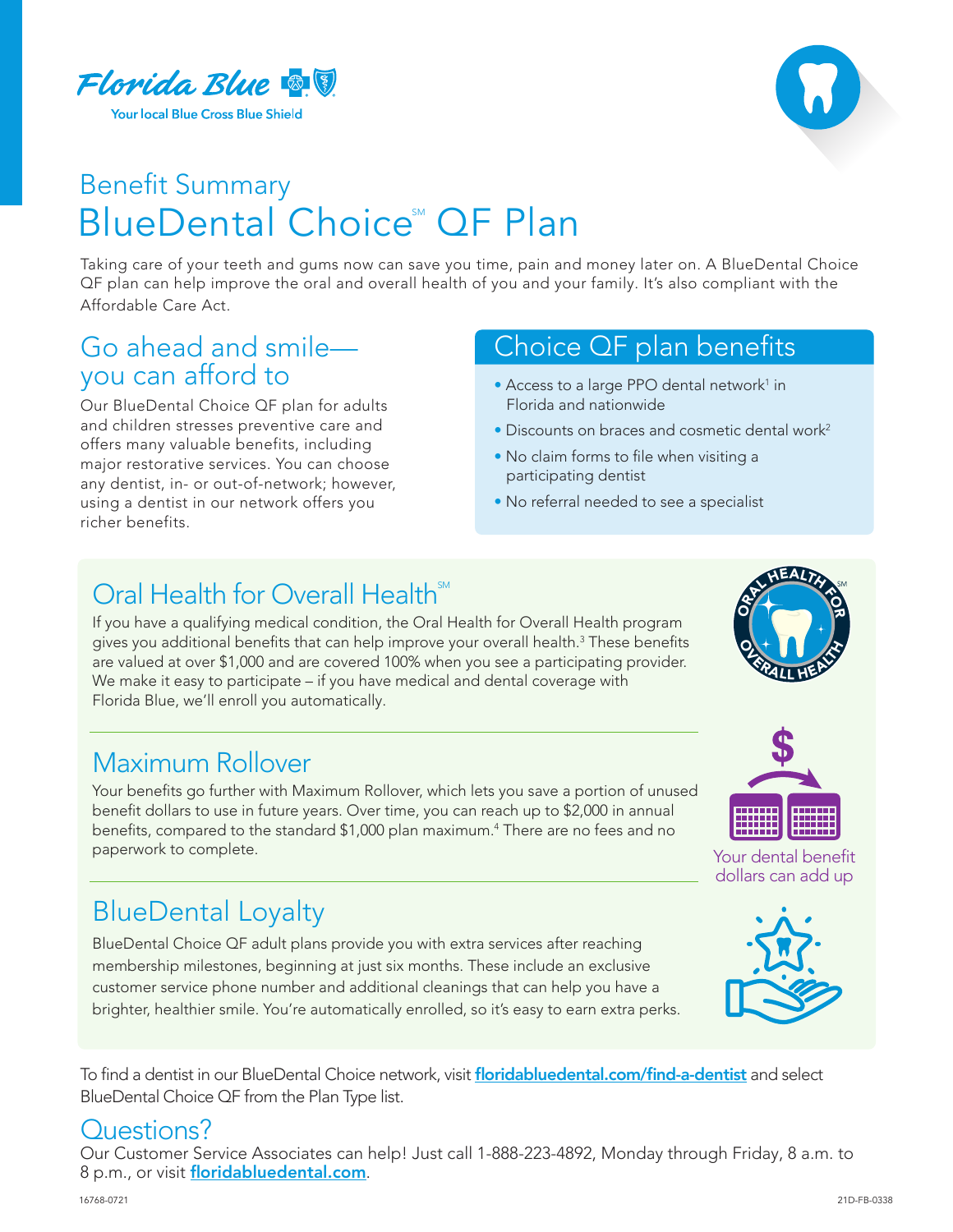



# Benefit Summary BlueDental Choice<sup>®</sup> QF Plan

Taking care of your teeth and gums now can save you time, pain and money later on. A BlueDental Choice QF plan can help improve the oral and overall health of you and your family. It's also compliant with the Affordable Care Act.

#### Go ahead and smile you can afford to

Our BlueDental Choice QF plan for adults and children stresses preventive care and offers many valuable benefits, including major restorative services. You can choose any dentist, in- or out-of-network; however, using a dentist in our network offers you richer benefits.

### Choice QF plan benefits

- Access to a large PPO dental network<sup>1</sup> in Florida and nationwide
- Discounts on braces and cosmetic dental work<sup>2</sup>
- No claim forms to file when visiting a participating dentist
- No referral needed to see a specialist

## Oral Health for Overall Health<sup>™</sup>

 If you have a qualifying medical condition, the Oral Health for Overall Health program gives you additional benefits that can help improve your overall health.<sup>3</sup> These benefits are valued at over \$1,000 and are covered 100% when you see a participating provider. We make it easy to participate – if you have medical and dental coverage with Florida Blue, we'll enroll you automatically.

## Maximum Rollover

Your benefits go further with Maximum Rollover, which lets you save a portion of unused benefit dollars to use in future years. Over time, you can reach up to \$2,000 in annual benefits, compared to the standard \$1,000 plan maximum.<sup>4</sup> There are no fees and no paperwork to complete.

## BlueDental Loyalty

BlueDental Choice QF adult plans provide you with extra services after reaching membership milestones, beginning at just six months. These include an exclusive customer service phone number and additional cleanings that can help you have a brighter, healthier smile. You're automatically enrolled, so it's easy to earn extra perks.

To find a dentist in our BlueDental Choice network, visit [floridabluedental.com/find-a-dentist](http://floridabluedental.com/find-a-dentist) and select BlueDental Choice QF from the Plan Type list.

#### Questions?

Our Customer Service Associates can help! Just call 1-888-223-4892, Monday through Friday, 8 a.m. to 8 p.m., or visit [floridabluedental.com](http://floridabluedental.com).





Your dental benefit dollars can add up

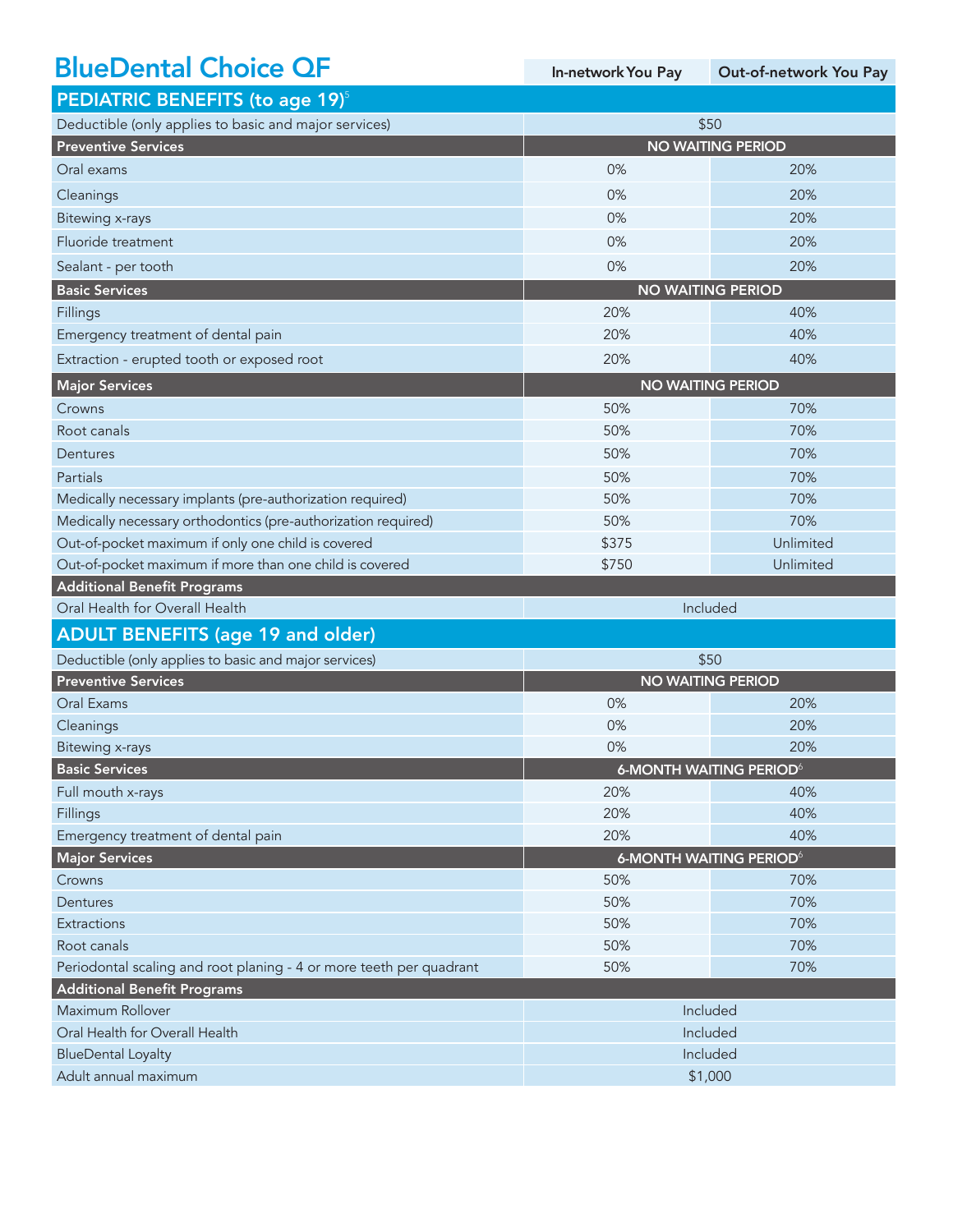## BlueDental Choice QF

In-networkYou Pay Out-of-network You Pay

| <b>PEDIATRIC BENEFITS (to age 19)</b> <sup>5</sup>                  |                                            |           |
|---------------------------------------------------------------------|--------------------------------------------|-----------|
| Deductible (only applies to basic and major services)               | \$50                                       |           |
| <b>Preventive Services</b>                                          | <b>NO WAITING PERIOD</b>                   |           |
| Oral exams                                                          | 0%                                         | 20%       |
| Cleanings                                                           | 0%                                         | 20%       |
| <b>Bitewing x-rays</b>                                              | 0%                                         | 20%       |
| Fluoride treatment                                                  | 0%                                         | 20%       |
| Sealant - per tooth                                                 | 0%                                         | 20%       |
| <b>Basic Services</b>                                               | <b>NO WAITING PERIOD</b>                   |           |
| Fillings                                                            | 20%                                        | 40%       |
| Emergency treatment of dental pain                                  | 20%                                        | 40%       |
| Extraction - erupted tooth or exposed root                          | 20%                                        | 40%       |
| <b>Major Services</b>                                               | <b>NO WAITING PERIOD</b>                   |           |
| Crowns                                                              | 50%                                        | 70%       |
| Root canals                                                         | 50%                                        | 70%       |
| Dentures                                                            | 50%                                        | 70%       |
| Partials                                                            | 50%                                        | 70%       |
| Medically necessary implants (pre-authorization required)           | 50%                                        | 70%       |
| Medically necessary orthodontics (pre-authorization required)       | 50%                                        | 70%       |
| Out-of-pocket maximum if only one child is covered                  | \$375                                      | Unlimited |
| Out-of-pocket maximum if more than one child is covered             | \$750                                      | Unlimited |
| <b>Additional Benefit Programs</b>                                  |                                            |           |
|                                                                     |                                            |           |
| Oral Health for Overall Health                                      | Included                                   |           |
| <b>ADULT BENEFITS (age 19 and older)</b>                            |                                            |           |
| Deductible (only applies to basic and major services)               | \$50                                       |           |
| <b>Preventive Services</b>                                          | <b>NO WAITING PERIOD</b>                   |           |
| Oral Exams                                                          | 0%                                         | 20%       |
| Cleanings                                                           | 0%                                         | 20%       |
| <b>Bitewing x-rays</b>                                              | 0%                                         | 20%       |
| <b>Basic Services</b>                                               | <b>6-MONTH WAITING PERIOD</b> <sup>6</sup> |           |
| Full mouth x-rays                                                   | 20%                                        | 40%       |
| Fillings                                                            | 20%                                        | 40%       |
| Emergency treatment of dental pain                                  | 20%                                        | 40%       |
| <b>Major Services</b>                                               | <b>6-MONTH WAITING PERIOD</b> <sup>6</sup> |           |
| Crowns                                                              | 50%                                        | 70%       |
| Dentures                                                            | 50%                                        | 70%       |
| Extractions                                                         | 50%                                        | 70%       |
| Root canals                                                         | 50%                                        | 70%       |
| Periodontal scaling and root planing - 4 or more teeth per quadrant | 50%                                        | 70%       |
| <b>Additional Benefit Programs</b>                                  |                                            |           |
| Maximum Rollover                                                    | Included                                   |           |
| Oral Health for Overall Health<br><b>BlueDental Loyalty</b>         | Included<br>Included                       |           |